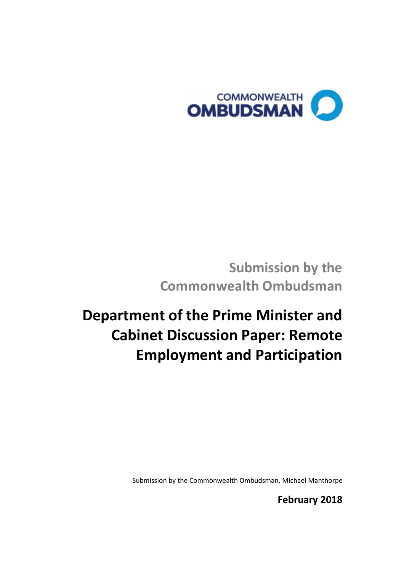

**Submission by the Commonwealth Ombudsman**

# **Department of the Prime Minister and Cabinet Discussion Paper: Remote Employment and Participation**

Submission by the Commonwealth Ombudsman, Michael Manthorpe

**February 2018**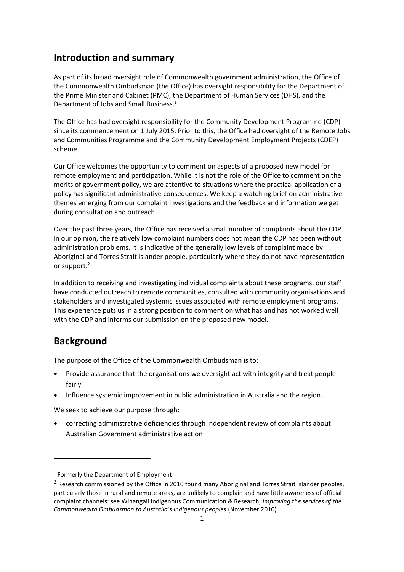# **Introduction and summary**

As part of its broad oversight role of Commonwealth government administration, the Office of the Commonwealth Ombudsman (the Office) has oversight responsibility for the Department of the Prime Minister and Cabinet (PMC), the Department of Human Services (DHS), and the Department of Jobs and Small Business. 1

The Office has had oversight responsibility for the Community Development Programme (CDP) since its commencement on 1 July 2015. Prior to this, the Office had oversight of the Remote Jobs and Communities Programme and the Community Development Employment Projects (CDEP) scheme.

Our Office welcomes the opportunity to comment on aspects of a proposed new model for remote employment and participation. While it is not the role of the Office to comment on the merits of government policy, we are attentive to situations where the practical application of a policy has significant administrative consequences. We keep a watching brief on administrative themes emerging from our complaint investigations and the feedback and information we get during consultation and outreach.

Over the past three years, the Office has received a small number of complaints about the CDP. In our opinion, the relatively low complaint numbers does not mean the CDP has been without administration problems. It is indicative of the generally low levels of complaint made by Aboriginal and Torres Strait Islander people, particularly where they do not have representation or support.<sup>2</sup>

In addition to receiving and investigating individual complaints about these programs, our staff have conducted outreach to remote communities, consulted with community organisations and stakeholders and investigated systemic issues associated with remote employment programs. This experience puts us in a strong position to comment on what has and has not worked well with the CDP and informs our submission on the proposed new model.

# **Background**

 $\overline{a}$ 

The purpose of the Office of the Commonwealth Ombudsman is to:

- Provide assurance that the organisations we oversight act with integrity and treat people fairly
- Influence systemic improvement in public administration in Australia and the region.

We seek to achieve our purpose through:

 correcting administrative deficiencies through independent review of complaints about Australian Government administrative action

<sup>1</sup> Formerly the Department of Employment

<sup>&</sup>lt;sup>2</sup> Research commissioned by the Office in 2010 found many Aboriginal and Torres Strait Islander peoples, particularly those in rural and remote areas, are unlikely to complain and have little awareness of official complaint channels: see Winangali Indigenous Communication & Research, *Improving the services of the Commonwealth Ombudsman to Australia's Indigenous peoples* (November 2010).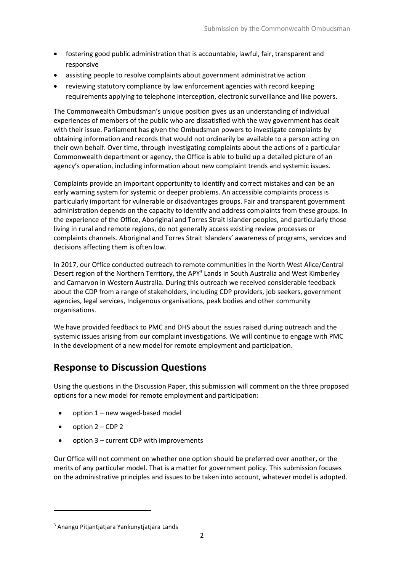- fostering good public administration that is accountable, lawful, fair, transparent and responsive
- assisting people to resolve complaints about government administrative action
- reviewing statutory compliance by law enforcement agencies with record keeping requirements applying to telephone interception, electronic surveillance and like powers.

The Commonwealth Ombudsman's unique position gives us an understanding of individual experiences of members of the public who are dissatisfied with the way government has dealt with their issue. Parliament has given the Ombudsman powers to investigate complaints by obtaining information and records that would not ordinarily be available to a person acting on their own behalf. Over time, through investigating complaints about the actions of a particular Commonwealth department or agency, the Office is able to build up a detailed picture of an agency's operation, including information about new complaint trends and systemic issues.

Complaints provide an important opportunity to identify and correct mistakes and can be an early warning system for systemic or deeper problems. An accessible complaints process is particularly important for vulnerable or disadvantages groups. Fair and transparent government administration depends on the capacity to identify and address complaints from these groups. In the experience of the Office, Aboriginal and Torres Strait Islander peoples, and particularly those living in rural and remote regions, do not generally access existing review processes or complaints channels. Aboriginal and Torres Strait Islanders' awareness of programs, services and decisions affecting them is often low.

In 2017, our Office conducted outreach to remote communities in the North West Alice/Central Desert region of the Northern Territory, the APY<sup>3</sup> Lands in South Australia and West Kimberley and Carnarvon in Western Australia. During this outreach we received considerable feedback about the CDP from a range of stakeholders, including CDP providers, job seekers, government agencies, legal services, Indigenous organisations, peak bodies and other community organisations.

We have provided feedback to PMC and DHS about the issues raised during outreach and the systemic issues arising from our complaint investigations. We will continue to engage with PMC in the development of a new model for remote employment and participation.

# **Response to Discussion Questions**

Using the questions in the Discussion Paper, this submission will comment on the three proposed options for a new model for remote employment and participation:

- option 1 new waged-based model
- option 2 CDP 2

 $\overline{a}$ 

• option 3 – current CDP with improvements

Our Office will not comment on whether one option should be preferred over another, or the merits of any particular model. That is a matter for government policy. This submission focuses on the administrative principles and issues to be taken into account, whatever model is adopted.

<sup>3</sup> Anangu Pitjantjatjara Yankunytjatjara Lands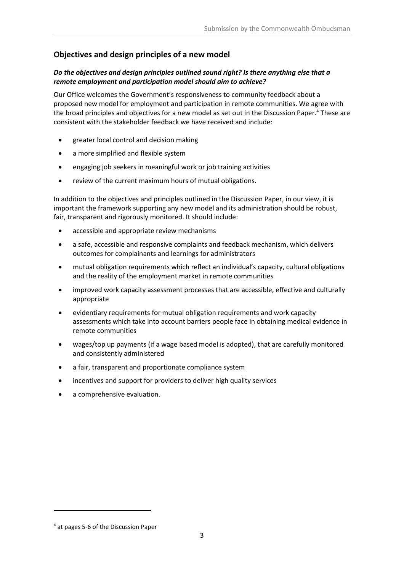# **Objectives and design principles of a new model**

## *Do the objectives and design principles outlined sound right? Is there anything else that a remote employment and participation model should aim to achieve?*

Our Office welcomes the Government's responsiveness to community feedback about a proposed new model for employment and participation in remote communities. We agree with the broad principles and objectives for a new model as set out in the Discussion Paper. <sup>4</sup> These are consistent with the stakeholder feedback we have received and include:

- greater local control and decision making
- a more simplified and flexible system
- engaging job seekers in meaningful work or job training activities
- review of the current maximum hours of mutual obligations.

In addition to the objectives and principles outlined in the Discussion Paper, in our view, it is important the framework supporting any new model and its administration should be robust, fair, transparent and rigorously monitored. It should include:

- accessible and appropriate review mechanisms
- a safe, accessible and responsive complaints and feedback mechanism, which delivers outcomes for complainants and learnings for administrators
- mutual obligation requirements which reflect an individual's capacity, cultural obligations and the reality of the employment market in remote communities
- improved work capacity assessment processes that are accessible, effective and culturally appropriate
- evidentiary requirements for mutual obligation requirements and work capacity assessments which take into account barriers people face in obtaining medical evidence in remote communities
- wages/top up payments (if a wage based model is adopted), that are carefully monitored and consistently administered
- a fair, transparent and proportionate compliance system
- incentives and support for providers to deliver high quality services
- a comprehensive evaluation.

<sup>4</sup> at pages 5-6 of the Discussion Paper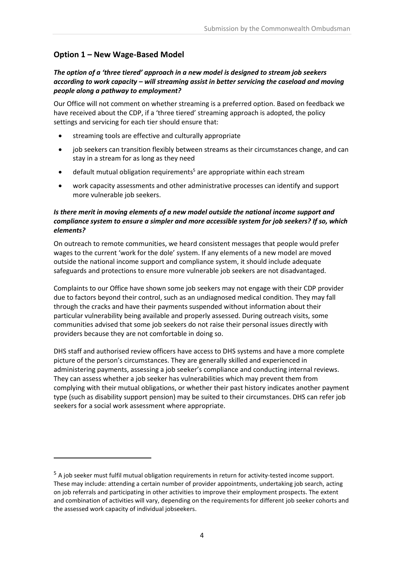# **Option 1 – New Wage-Based Model**

 $\overline{a}$ 

# *The option of a 'three tiered' approach in a new model is designed to stream job seekers according to work capacity – will streaming assist in better servicing the caseload and moving people along a pathway to employment?*

Our Office will not comment on whether streaming is a preferred option. Based on feedback we have received about the CDP, if a 'three tiered' streaming approach is adopted, the policy settings and servicing for each tier should ensure that:

- streaming tools are effective and culturally appropriate
- job seekers can transition flexibly between streams as their circumstances change, and can stay in a stream for as long as they need
- default mutual obligation requirements<sup>5</sup> are appropriate within each stream
- work capacity assessments and other administrative processes can identify and support more vulnerable job seekers.

# *Is there merit in moving elements of a new model outside the national income support and compliance system to ensure a simpler and more accessible system for job seekers? If so, which elements?*

On outreach to remote communities, we heard consistent messages that people would prefer wages to the current 'work for the dole' system. If any elements of a new model are moved outside the national income support and compliance system, it should include adequate safeguards and protections to ensure more vulnerable job seekers are not disadvantaged.

Complaints to our Office have shown some job seekers may not engage with their CDP provider due to factors beyond their control, such as an undiagnosed medical condition. They may fall through the cracks and have their payments suspended without information about their particular vulnerability being available and properly assessed. During outreach visits, some communities advised that some job seekers do not raise their personal issues directly with providers because they are not comfortable in doing so.

DHS staff and authorised review officers have access to DHS systems and have a more complete picture of the person's circumstances. They are generally skilled and experienced in administering payments, assessing a job seeker's compliance and conducting internal reviews. They can assess whether a job seeker has vulnerabilities which may prevent them from complying with their mutual obligations, or whether their past history indicates another payment type (such as disability support pension) may be suited to their circumstances. DHS can refer job seekers for a social work assessment where appropriate.

<sup>5</sup> A job seeker must fulfil mutual obligation requirements in return for activity-tested income support. These may include: attending a certain number of provider appointments, undertaking job search, acting on job referrals and participating in other activities to improve their employment prospects. The extent and combination of activities will vary, depending on the requirements for different job seeker cohorts and the assessed work capacity of individual jobseekers.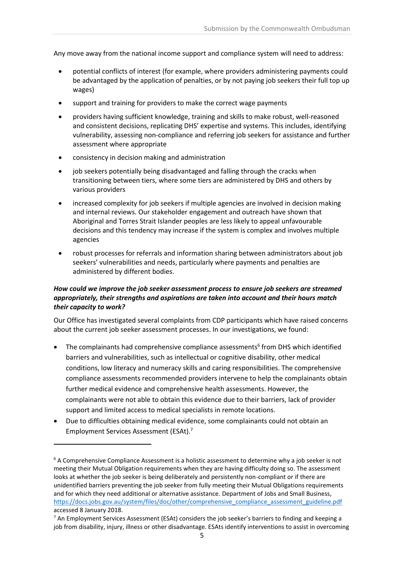Any move away from the national income support and compliance system will need to address:

- potential conflicts of interest (for example, where providers administering payments could be advantaged by the application of penalties, or by not paying job seekers their full top up wages)
- support and training for providers to make the correct wage payments
- providers having sufficient knowledge, training and skills to make robust, well-reasoned and consistent decisions, replicating DHS' expertise and systems. This includes, identifying vulnerability, assessing non-compliance and referring job seekers for assistance and further assessment where appropriate
- consistency in decision making and administration
- job seekers potentially being disadvantaged and falling through the cracks when transitioning between tiers, where some tiers are administered by DHS and others by various providers
- increased complexity for job seekers if multiple agencies are involved in decision making and internal reviews. Our stakeholder engagement and outreach have shown that Aboriginal and Torres Strait Islander peoples are less likely to appeal unfavourable decisions and this tendency may increase if the system is complex and involves multiple agencies
- robust processes for referrals and information sharing between administrators about job seekers' vulnerabilities and needs, particularly where payments and penalties are administered by different bodies.

# *How could we improve the job seeker assessment process to ensure job seekers are streamed appropriately, their strengths and aspirations are taken into account and their hours match their capacity to work?*

Our Office has investigated several complaints from CDP participants which have raised concerns about the current job seeker assessment processes. In our investigations, we found:

- $\bullet$  The complainants had comprehensive compliance assessments<sup>6</sup> from DHS which identified barriers and vulnerabilities, such as intellectual or cognitive disability, other medical conditions, low literacy and numeracy skills and caring responsibilities. The comprehensive compliance assessments recommended providers intervene to help the complainants obtain further medical evidence and comprehensive health assessments. However, the complainants were not able to obtain this evidence due to their barriers, lack of provider support and limited access to medical specialists in remote locations.
- Due to difficulties obtaining medical evidence, some complainants could not obtain an Employment Services Assessment (ESAt).<sup>7</sup>

 $6$  A Comprehensive Compliance Assessment is a holistic assessment to determine why a job seeker is not meeting their Mutual Obligation requirements when they are having difficulty doing so. The assessment looks at whether the job seeker is being deliberately and persistently non-compliant or if there are unidentified barriers preventing the job seeker from fully meeting their Mutual Obligations requirements and for which they need additional or alternative assistance. Department of Jobs and Small Business, [https://docs.jobs.gov.au/system/files/doc/other/comprehensive\\_compliance\\_assessment\\_guideline.pdf](https://docs.jobs.gov.au/system/files/doc/other/comprehensive_compliance_assessment_guideline.pdf) accessed 8 January 2018.

 $7$  An Employment Services Assessment (ESAt) considers the job seeker's barriers to finding and keeping a job from disability, injury, illness or other disadvantage. ESAts identify interventions to assist in overcoming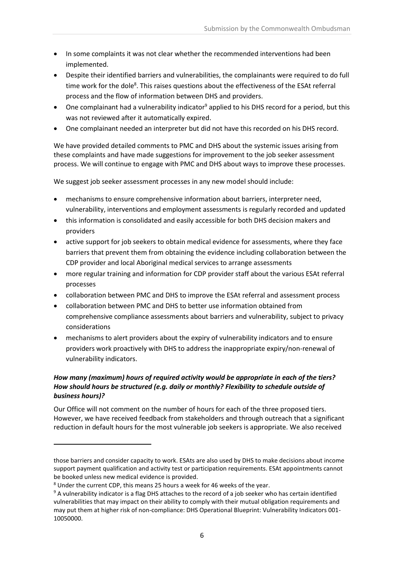- In some complaints it was not clear whether the recommended interventions had been implemented.
- Despite their identified barriers and vulnerabilities, the complainants were required to do full time work for the dole<sup>8</sup>. This raises questions about the effectiveness of the ESAt referral process and the flow of information between DHS and providers.
- One complainant had a vulnerability indicator<sup>9</sup> applied to his DHS record for a period, but this was not reviewed after it automatically expired.
- One complainant needed an interpreter but did not have this recorded on his DHS record.

We have provided detailed comments to PMC and DHS about the systemic issues arising from these complaints and have made suggestions for improvement to the job seeker assessment process. We will continue to engage with PMC and DHS about ways to improve these processes.

We suggest job seeker assessment processes in any new model should include:

- mechanisms to ensure comprehensive information about barriers, interpreter need, vulnerability, interventions and employment assessments is regularly recorded and updated
- this information is consolidated and easily accessible for both DHS decision makers and providers
- active support for job seekers to obtain medical evidence for assessments, where they face barriers that prevent them from obtaining the evidence including collaboration between the CDP provider and local Aboriginal medical services to arrange assessments
- more regular training and information for CDP provider staff about the various ESAt referral processes
- collaboration between PMC and DHS to improve the ESAt referral and assessment process
- collaboration between PMC and DHS to better use information obtained from comprehensive compliance assessments about barriers and vulnerability, subject to privacy considerations
- mechanisms to alert providers about the expiry of vulnerability indicators and to ensure providers work proactively with DHS to address the inappropriate expiry/non-renewal of vulnerability indicators.

# *How many (maximum) hours of required activity would be appropriate in each of the tiers? How should hours be structured (e.g. daily or monthly? Flexibility to schedule outside of business hours)?*

Our Office will not comment on the number of hours for each of the three proposed tiers. However, we have received feedback from stakeholders and through outreach that a significant reduction in default hours for the most vulnerable job seekers is appropriate. We also received

those barriers and consider capacity to work. ESAts are also used by DHS to make decisions about income support payment qualification and activity test or participation requirements. ESAt appointments cannot be booked unless new medical evidence is provided.

<sup>8</sup> Under the current CDP, this means 25 hours a week for 46 weeks of the year.

<sup>&</sup>lt;sup>9</sup> A vulnerability indicator is a flag DHS attaches to the record of a job seeker who has certain identified vulnerabilities that may impact on their ability to comply with their mutual obligation requirements and may put them at higher risk of non-compliance: DHS Operational Blueprint: Vulnerability Indicators 001- 10050000.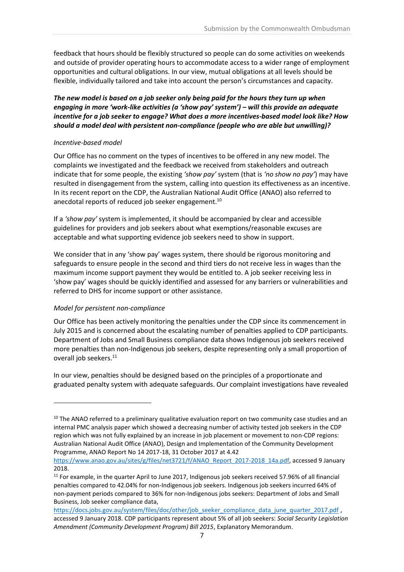feedback that hours should be flexibly structured so people can do some activities on weekends and outside of provider operating hours to accommodate access to a wider range of employment opportunities and cultural obligations. In our view, mutual obligations at all levels should be flexible, individually tailored and take into account the person's circumstances and capacity.

### *The new model is based on a job seeker only being paid for the hours they turn up when engaging in more 'work-like activities (a 'show pay' system') – will this provide an adequate incentive for a job seeker to engage? What does a more incentives-based model look like? How should a model deal with persistent non-compliance (people who are able but unwilling)?*

#### *Incentive-based model*

Our Office has no comment on the types of incentives to be offered in any new model. The complaints we investigated and the feedback we received from stakeholders and outreach indicate that for some people, the existing *'show pay'* system (that is *'no show no pay'*) may have resulted in disengagement from the system, calling into question its effectiveness as an incentive. In its recent report on the CDP, the Australian National Audit Office (ANAO) also referred to anecdotal reports of reduced job seeker engagement. 10

If a *'show pay'* system is implemented, it should be accompanied by clear and accessible guidelines for providers and job seekers about what exemptions/reasonable excuses are acceptable and what supporting evidence job seekers need to show in support.

We consider that in any 'show pay' wages system, there should be rigorous monitoring and safeguards to ensure people in the second and third tiers do not receive less in wages than the maximum income support payment they would be entitled to. A job seeker receiving less in 'show pay' wages should be quickly identified and assessed for any barriers or vulnerabilities and referred to DHS for income support or other assistance.

#### *Model for persistent non-compliance*

 $\overline{a}$ 

Our Office has been actively monitoring the penalties under the CDP since its commencement in July 2015 and is concerned about the escalating number of penalties applied to CDP participants. Department of Jobs and Small Business compliance data shows Indigenous job seekers received more penalties than non-Indigenous job seekers, despite representing only a small proportion of overall job seekers.<sup>11</sup>

In our view, penalties should be designed based on the principles of a proportionate and graduated penalty system with adequate safeguards. Our complaint investigations have revealed

<sup>&</sup>lt;sup>10</sup> The ANAO referred to a preliminary qualitative evaluation report on two community case studies and an internal PMC analysis paper which showed a decreasing number of activity tested job seekers in the CDP region which was not fully explained by an increase in job placement or movement to non-CDP regions: Australian National Audit Office (ANAO), Design and Implementation of the Community Development Programme, ANAO Report No 14 2017-18, 31 October 2017 at 4.42

[https://www.anao.gov.au/sites/g/files/net3721/f/ANAO\\_Report\\_2017-2018\\_14a.pdf,](https://www.anao.gov.au/sites/g/files/net3721/f/ANAO_Report_2017-2018_14a.pdf) accessed 9 January 2018.

<sup>&</sup>lt;sup>11</sup> For example, in the quarter April to June 2017, Indigenous job seekers received 57.96% of all financial penalties compared to 42.04% for non-Indigenous job seekers. Indigenous job seekers incurred 64% of non-payment periods compared to 36% for non-Indigenous jobs seekers: Department of Jobs and Small Business, Job seeker compliance data,

[https://docs.jobs.gov.au/system/files/doc/other/job\\_seeker\\_compliance\\_data\\_june\\_quarter\\_2017.pdf](https://docs.jobs.gov.au/system/files/doc/other/job_seeker_compliance_data_june_quarter_2017.pdf) , accessed 9 January 2018. CDP participants represent about 5% of all job seekers: *Social Security Legislation Amendment (Community Development Program) Bill 2015*, Explanatory Memorandum.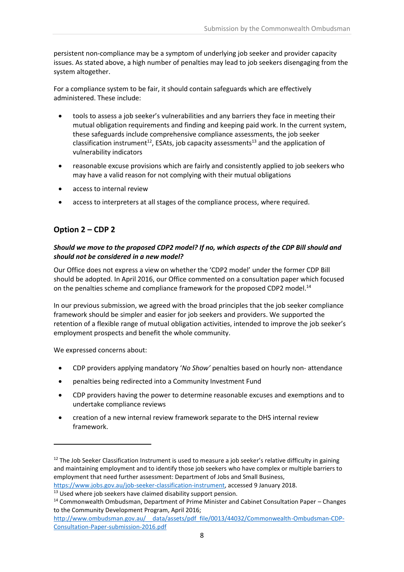persistent non-compliance may be a symptom of underlying job seeker and provider capacity issues. As stated above, a high number of penalties may lead to job seekers disengaging from the system altogether.

For a compliance system to be fair, it should contain safeguards which are effectively administered. These include:

- tools to assess a job seeker's vulnerabilities and any barriers they face in meeting their mutual obligation requirements and finding and keeping paid work. In the current system, these safeguards include comprehensive compliance assessments, the job seeker classification instrument<sup>12</sup>, ESAts, job capacity assessments<sup>13</sup> and the application of vulnerability indicators
- reasonable excuse provisions which are fairly and consistently applied to job seekers who may have a valid reason for not complying with their mutual obligations
- access to internal review
- access to interpreters at all stages of the compliance process, where required.

# **Option 2 – CDP 2**

# *Should we move to the proposed CDP2 model? If no, which aspects of the CDP Bill should and should not be considered in a new model?*

Our Office does not express a view on whether the 'CDP2 model' under the former CDP Bill should be adopted. In April 2016, our Office commented on a consultation paper which focused on the penalties scheme and compliance framework for the proposed CDP2 model.<sup>14</sup>

In our previous submission, we agreed with the broad principles that the job seeker compliance framework should be simpler and easier for job seekers and providers. We supported the retention of a flexible range of mutual obligation activities, intended to improve the job seeker's employment prospects and benefit the whole community.

We expressed concerns about:

- CDP providers applying mandatory '*No Show'* penalties based on hourly non- attendance
- penalties being redirected into a Community Investment Fund
- CDP providers having the power to determine reasonable excuses and exemptions and to undertake compliance reviews
- creation of a new internal review framework separate to the DHS internal review framework.

 $12$  The Job Seeker Classification Instrument is used to measure a job seeker's relative difficulty in gaining and maintaining employment and to identify those job seekers who have complex or multiple barriers to employment that need further assessment: Department of Jobs and Small Business, [https://www.jobs.gov.au/job-seeker-classification-instrument,](https://www.jobs.gov.au/job-seeker-classification-instrument) accessed 9 January 2018.

 $13$  Used where job seekers have claimed disability support pension.

<sup>14</sup> Commonwealth Ombudsman, Department of Prime Minister and Cabinet Consultation Paper – Changes to the Community Development Program, April 2016;

[http://www.ombudsman.gov.au/\\_\\_data/assets/pdf\\_file/0013/44032/Commonwealth-Ombudsman-CDP-](http://www.ombudsman.gov.au/__data/assets/pdf_file/0013/44032/Commonwealth-Ombudsman-CDP-Consultation-Paper-submission-2016.pdf)[Consultation-Paper-submission-2016.pdf](http://www.ombudsman.gov.au/__data/assets/pdf_file/0013/44032/Commonwealth-Ombudsman-CDP-Consultation-Paper-submission-2016.pdf)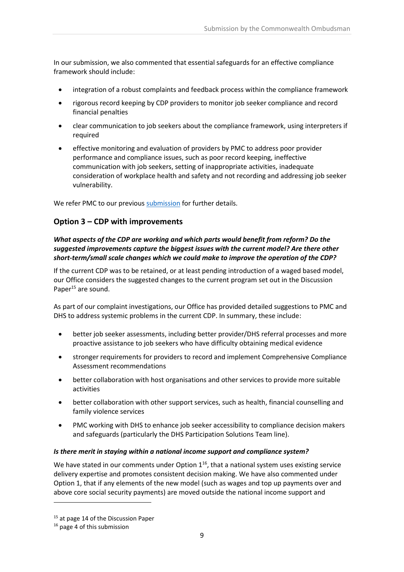In our submission, we also commented that essential safeguards for an effective compliance framework should include:

- integration of a robust complaints and feedback process within the compliance framework
- rigorous record keeping by CDP providers to monitor job seeker compliance and record financial penalties
- clear communication to job seekers about the compliance framework, using interpreters if required
- effective monitoring and evaluation of providers by PMC to address poor provider performance and compliance issues, such as poor record keeping, ineffective communication with job seekers, setting of inappropriate activities, inadequate consideration of workplace health and safety and not recording and addressing job seeker vulnerability.

We refer PMC to our previous [submission](http://www.ombudsman.gov.au/__data/assets/pdf_file/0013/44032/Commonwealth-Ombudsman-CDP-Consultation-Paper-submission-2016.pdf) for further details.

# **Option 3 – CDP with improvements**

# *What aspects of the CDP are working and which parts would benefit from reform? Do the suggested improvements capture the biggest issues with the current model? Are there other short-term/small scale changes which we could make to improve the operation of the CDP?*

If the current CDP was to be retained, or at least pending introduction of a waged based model, our Office considers the suggested changes to the current program set out in the Discussion Paper<sup>15</sup> are sound.

As part of our complaint investigations, our Office has provided detailed suggestions to PMC and DHS to address systemic problems in the current CDP. In summary, these include:

- better job seeker assessments, including better provider/DHS referral processes and more proactive assistance to job seekers who have difficulty obtaining medical evidence
- stronger requirements for providers to record and implement Comprehensive Compliance Assessment recommendations
- better collaboration with host organisations and other services to provide more suitable activities
- better collaboration with other support services, such as health, financial counselling and family violence services
- PMC working with DHS to enhance job seeker accessibility to compliance decision makers and safeguards (particularly the DHS Participation Solutions Team line).

## *Is there merit in staying within a national income support and compliance system?*

We have stated in our comments under Option  $1^{16}$ , that a national system uses existing service delivery expertise and promotes consistent decision making. We have also commented under Option 1, that if any elements of the new model (such as wages and top up payments over and above core social security payments) are moved outside the national income support and

<sup>&</sup>lt;sup>15</sup> at page 14 of the Discussion Paper

<sup>&</sup>lt;sup>16</sup> page 4 of this submission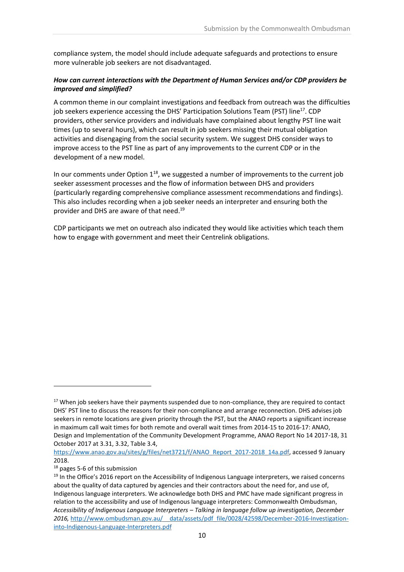compliance system, the model should include adequate safeguards and protections to ensure more vulnerable job seekers are not disadvantaged.

# *How can current interactions with the Department of Human Services and/or CDP providers be improved and simplified?*

A common theme in our complaint investigations and feedback from outreach was the difficulties job seekers experience accessing the DHS' Participation Solutions Team (PST) line<sup>17</sup>. CDP providers, other service providers and individuals have complained about lengthy PST line wait times (up to several hours), which can result in job seekers missing their mutual obligation activities and disengaging from the social security system. We suggest DHS consider ways to improve access to the PST line as part of any improvements to the current CDP or in the development of a new model.

In our comments under Option  $1^{18}$ , we suggested a number of improvements to the current job seeker assessment processes and the flow of information between DHS and providers (particularly regarding comprehensive compliance assessment recommendations and findings). This also includes recording when a job seeker needs an interpreter and ensuring both the provider and DHS are aware of that need. 19

CDP participants we met on outreach also indicated they would like activities which teach them how to engage with government and meet their Centrelink obligations.

<sup>&</sup>lt;sup>17</sup> When job seekers have their payments suspended due to non-compliance, they are required to contact DHS' PST line to discuss the reasons for their non-compliance and arrange reconnection. DHS advises job seekers in remote locations are given priority through the PST, but the ANAO reports a significant increase in maximum call wait times for both remote and overall wait times from 2014-15 to 2016-17: ANAO, Design and Implementation of the Community Development Programme, ANAO Report No 14 2017-18, 31 October 2017 at 3.31, 3.32, Table 3.4,

[https://www.anao.gov.au/sites/g/files/net3721/f/ANAO\\_Report\\_2017-2018\\_14a.pdf,](https://www.anao.gov.au/sites/g/files/net3721/f/ANAO_Report_2017-2018_14a.pdf) accessed 9 January 2018.

<sup>18</sup> pages 5-6 of this submission

<sup>&</sup>lt;sup>19</sup> In the Office's 2016 report on the Accessibility of Indigenous Language interpreters, we raised concerns about the quality of data captured by agencies and their contractors about the need for, and use of, Indigenous language interpreters. We acknowledge both DHS and PMC have made significant progress in relation to the accessibility and use of Indigenous language interpreters: Commonwealth Ombudsman, *Accessibility of Indigenous Language Interpreters – Talking in language follow up investigation, December*  2016, http://www.ombudsman.gov.au/ data/assets/pdf file/0028/42598/December-2016-Investigation[into-Indigenous-Language-Interpreters.pdf](http://www.ombudsman.gov.au/__data/assets/pdf_file/0028/42598/December-2016-Investigation-into-Indigenous-Language-Interpreters.pdf)